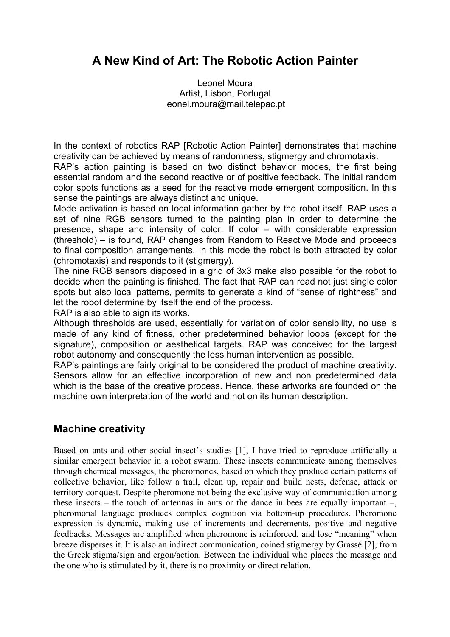# **A New Kind of Art: The Robotic Action Painter**

Leonel Moura Artist, Lisbon, Portugal leonel.moura@mail.telepac.pt

In the context of robotics RAP [Robotic Action Painter] demonstrates that machine creativity can be achieved by means of randomness, stigmergy and chromotaxis.

RAP's action painting is based on two distinct behavior modes, the first being essential random and the second reactive or of positive feedback. The initial random color spots functions as a seed for the reactive mode emergent composition. In this sense the paintings are always distinct and unique.

Mode activation is based on local information gather by the robot itself. RAP uses a set of nine RGB sensors turned to the painting plan in order to determine the presence, shape and intensity of color. If color – with considerable expression (threshold) – is found, RAP changes from Random to Reactive Mode and proceeds to final composition arrangements. In this mode the robot is both attracted by color (chromotaxis) and responds to it (stigmergy).

The nine RGB sensors disposed in a grid of 3x3 make also possible for the robot to decide when the painting is finished. The fact that RAP can read not just single color spots but also local patterns, permits to generate a kind of "sense of rightness" and let the robot determine by itself the end of the process.

RAP is also able to sign its works.

Although thresholds are used, essentially for variation of color sensibility, no use is made of any kind of fitness, other predetermined behavior loops (except for the signature), composition or aesthetical targets. RAP was conceived for the largest robot autonomy and consequently the less human intervention as possible.

RAP's paintings are fairly original to be considered the product of machine creativity. Sensors allow for an effective incorporation of new and non predetermined data which is the base of the creative process. Hence, these artworks are founded on the machine own interpretation of the world and not on its human description.

### **Machine creativity**

Based on ants and other social insect's studies [1], I have tried to reproduce artificially a similar emergent behavior in a robot swarm. These insects communicate among themselves through chemical messages, the pheromones, based on which they produce certain patterns of collective behavior, like follow a trail, clean up, repair and build nests, defense, attack or territory conquest. Despite pheromone not being the exclusive way of communication among these insects – the touch of antennas in ants or the dance in bees are equally important –, pheromonal language produces complex cognition via bottom-up procedures. Pheromone expression is dynamic, making use of increments and decrements, positive and negative feedbacks. Messages are amplified when pheromone is reinforced, and lose "meaning" when breeze disperses it. It is also an indirect communication, coined stigmergy by Grassé [2], from the Greek stigma/sign and ergon/action. Between the individual who places the message and the one who is stimulated by it, there is no proximity or direct relation.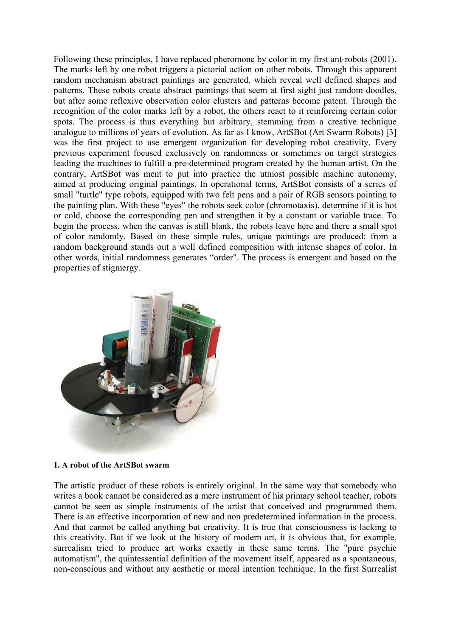Following these principles, I have replaced pheromone by color in my first ant-robots (2001). The marks left by one robot triggers a pictorial action on other robots. Through this apparent random mechanism abstract paintings are generated, which reveal well defined shapes and patterns. These robots create abstract paintings that seem at first sight just random doodles, but after some reflexive observation color clusters and patterns become patent. Through the recognition of the color marks left by a robot, the others react to it reinforcing certain color spots. The process is thus everything but arbitrary, stemming from a creative technique analogue to millions of years of evolution. As far as I know, ArtSBot (Art Swarm Robots) [3] was the first project to use emergent organization for developing robot creativity. Every previous experiment focused exclusively on randomness or sometimes on target strategies leading the machines to fulfill a pre-determined program created by the human artist. On the contrary, ArtSBot was ment to put into practice the utmost possible machine autonomy, aimed at producing original paintings. In operational terms, ArtSBot consists of a series of small "turtle" type robots, equipped with two felt pens and a pair of RGB sensors pointing to the painting plan. With these "eyes" the robots seek color (chromotaxis), determine if it is hot or cold, choose the corresponding pen and strengthen it by a constant or variable trace. To begin the process, when the canvas is still blank, the robots leave here and there a small spot of color randomly. Based on these simple rules, unique paintings are produced: from a random background stands out a well defined composition with intense shapes of color. In other words, initial randomness generates "order". The process is emergent and based on the properties of stigmergy.



#### **1. A robot of the ArtSBot swarm**

The artistic product of these robots is entirely original. In the same way that somebody who writes a book cannot be considered as a mere instrument of his primary school teacher, robots cannot be seen as simple instruments of the artist that conceived and programmed them. There is an effective incorporation of new and non predetermined information in the process. And that cannot be called anything but creativity. It is true that consciousness is lacking to this creativity. But if we look at the history of modern art, it is obvious that, for example, surrealism tried to produce art works exactly in these same terms. The "pure psychic automatism", the quintessential definition of the movement itself, appeared as a spontaneous, non-conscious and without any aesthetic or moral intention technique. In the first Surrealist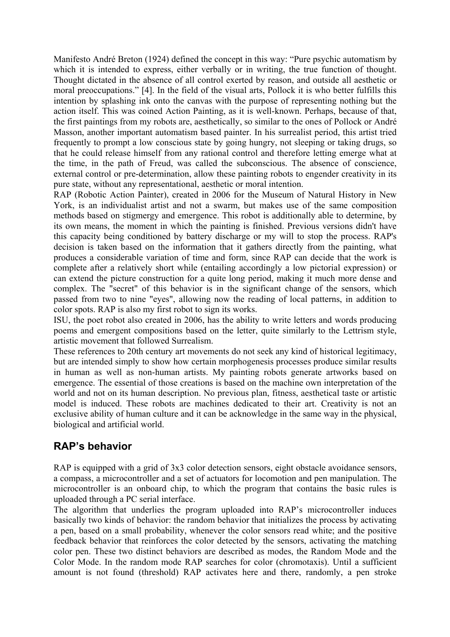Manifesto André Breton (1924) defined the concept in this way: "Pure psychic automatism by which it is intended to express, either verbally or in writing, the true function of thought. Thought dictated in the absence of all control exerted by reason, and outside all aesthetic or moral preoccupations." [4]. In the field of the visual arts, Pollock it is who better fulfills this intention by splashing ink onto the canvas with the purpose of representing nothing but the action itself. This was coined Action Painting, as it is well-known. Perhaps, because of that, the first paintings from my robots are, aesthetically, so similar to the ones of Pollock or André Masson, another important automatism based painter. In his surrealist period, this artist tried frequently to prompt a low conscious state by going hungry, not sleeping or taking drugs, so that he could release himself from any rational control and therefore letting emerge what at the time, in the path of Freud, was called the subconscious. The absence of conscience, external control or pre-determination, allow these painting robots to engender creativity in its pure state, without any representational, aesthetic or moral intention.

RAP (Robotic Action Painter), created in 2006 for the Museum of Natural History in New York, is an individualist artist and not a swarm, but makes use of the same composition methods based on stigmergy and emergence. This robot is additionally able to determine, by its own means, the moment in which the painting is finished. Previous versions didn't have this capacity being conditioned by battery discharge or my will to stop the process. RAP's decision is taken based on the information that it gathers directly from the painting, what produces a considerable variation of time and form, since RAP can decide that the work is complete after a relatively short while (entailing accordingly a low pictorial expression) or can extend the picture construction for a quite long period, making it much more dense and complex. The "secret" of this behavior is in the significant change of the sensors, which passed from two to nine "eyes", allowing now the reading of local patterns, in addition to color spots. RAP is also my first robot to sign its works.

ISU, the poet robot also created in 2006, has the ability to write letters and words producing poems and emergent compositions based on the letter, quite similarly to the Lettrism style, artistic movement that followed Surrealism.

These references to 20th century art movements do not seek any kind of historical legitimacy, but are intended simply to show how certain morphogenesis processes produce similar results in human as well as non-human artists. My painting robots generate artworks based on emergence. The essential of those creations is based on the machine own interpretation of the world and not on its human description. No previous plan, fitness, aesthetical taste or artistic model is induced. These robots are machines dedicated to their art. Creativity is not an exclusive ability of human culture and it can be acknowledge in the same way in the physical, biological and artificial world.

### **RAP's behavior**

RAP is equipped with a grid of 3x3 color detection sensors, eight obstacle avoidance sensors, a compass, a microcontroller and a set of actuators for locomotion and pen manipulation. The microcontroller is an onboard chip, to which the program that contains the basic rules is uploaded through a PC serial interface.

The algorithm that underlies the program uploaded into RAP's microcontroller induces basically two kinds of behavior: the random behavior that initializes the process by activating a pen, based on a small probability, whenever the color sensors read white; and the positive feedback behavior that reinforces the color detected by the sensors, activating the matching color pen. These two distinct behaviors are described as modes, the Random Mode and the Color Mode. In the random mode RAP searches for color (chromotaxis). Until a sufficient amount is not found (threshold) RAP activates here and there, randomly, a pen stroke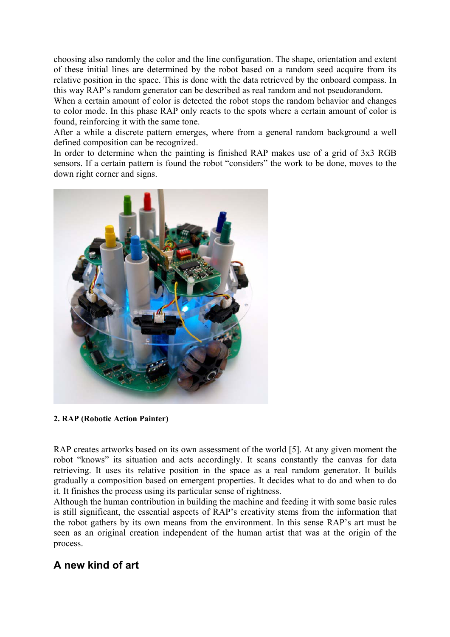choosing also randomly the color and the line configuration. The shape, orientation and extent of these initial lines are determined by the robot based on a random seed acquire from its relative position in the space. This is done with the data retrieved by the onboard compass. In this way RAP's random generator can be described as real random and not pseudorandom.

When a certain amount of color is detected the robot stops the random behavior and changes to color mode. In this phase RAP only reacts to the spots where a certain amount of color is found, reinforcing it with the same tone.

After a while a discrete pattern emerges, where from a general random background a well defined composition can be recognized.

In order to determine when the painting is finished RAP makes use of a grid of 3x3 RGB sensors. If a certain pattern is found the robot "considers" the work to be done, moves to the down right corner and signs.



**2. RAP (Robotic Action Painter)** 

RAP creates artworks based on its own assessment of the world [5]. At any given moment the robot "knows" its situation and acts accordingly. It scans constantly the canvas for data retrieving. It uses its relative position in the space as a real random generator. It builds gradually a composition based on emergent properties. It decides what to do and when to do it. It finishes the process using its particular sense of rightness.

Although the human contribution in building the machine and feeding it with some basic rules is still significant, the essential aspects of RAP's creativity stems from the information that the robot gathers by its own means from the environment. In this sense RAP's art must be seen as an original creation independent of the human artist that was at the origin of the process.

### **A new kind of art**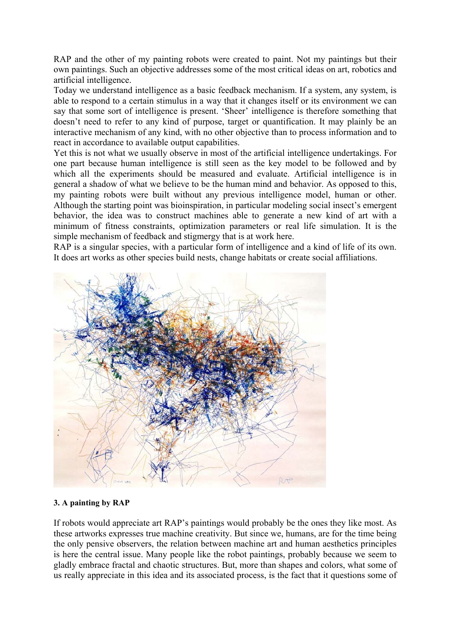RAP and the other of my painting robots were created to paint. Not my paintings but their own paintings. Such an objective addresses some of the most critical ideas on art, robotics and artificial intelligence.

Today we understand intelligence as a basic feedback mechanism. If a system, any system, is able to respond to a certain stimulus in a way that it changes itself or its environment we can say that some sort of intelligence is present. 'Sheer' intelligence is therefore something that doesn't need to refer to any kind of purpose, target or quantification. It may plainly be an interactive mechanism of any kind, with no other objective than to process information and to react in accordance to available output capabilities.

Yet this is not what we usually observe in most of the artificial intelligence undertakings. For one part because human intelligence is still seen as the key model to be followed and by which all the experiments should be measured and evaluate. Artificial intelligence is in general a shadow of what we believe to be the human mind and behavior. As opposed to this, my painting robots were built without any previous intelligence model, human or other. Although the starting point was bioinspiration, in particular modeling social insect's emergent behavior, the idea was to construct machines able to generate a new kind of art with a minimum of fitness constraints, optimization parameters or real life simulation. It is the simple mechanism of feedback and stigmergy that is at work here.

RAP is a singular species, with a particular form of intelligence and a kind of life of its own. It does art works as other species build nests, change habitats or create social affiliations.



#### **3. A painting by RAP**

If robots would appreciate art RAP's paintings would probably be the ones they like most. As these artworks expresses true machine creativity. But since we, humans, are for the time being the only pensive observers, the relation between machine art and human aesthetics principles is here the central issue. Many people like the robot paintings, probably because we seem to gladly embrace fractal and chaotic structures. But, more than shapes and colors, what some of us really appreciate in this idea and its associated process, is the fact that it questions some of